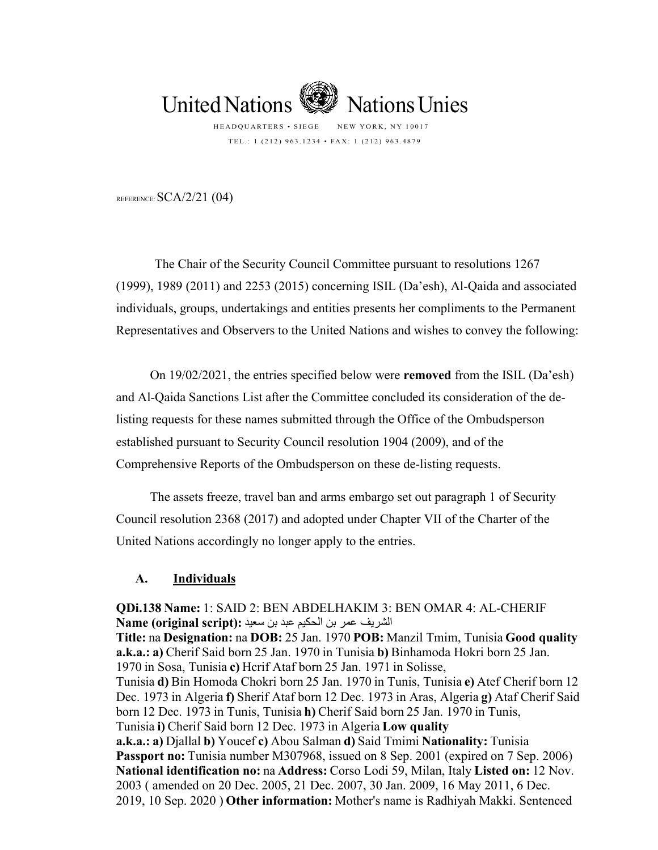

REFERENCE:  $SCA/2/21$  (04)

The Chair of the Security Council Committee pursuant to resolutions 1267 (1999), 1989 (2011) and 2253 (2015) concerning ISIL (Da'esh), Al-Qaida and associated individuals, groups, undertakings and entities presents her compliments to the Permanent Representatives and Observers to the United Nations and wishes to convey the following:

On 19/02/2021, the entries specified below were **removed** from the ISIL (Da'esh) and Al-Qaida Sanctions List after the Committee concluded its consideration of the delisting requests for these names submitted through the Office of the Ombudsperson established pursuant to Security Council resolution 1904 (2009), and of the Comprehensive Reports of the Ombudsperson on these de-listing requests.

The assets freeze, travel ban and arms embargo set out paragraph 1 of Security Council resolution 2368 (2017) and adopted under Chapter VII of the Charter of the United Nations accordingly no longer apply to the entries.

## **A. Individuals**

**QDi.138 Name:**1: SAID 2: BEN ABDELHAKIM 3: BEN OMAR 4: AL-CHERIF الشریف عمر بن الحكیم عبد بن سعید**: (script original (Name**

**Title:**na**Designation:**na**DOB:**25 Jan. 1970**POB:**Manzil Tmim, Tunisia **Good quality a.k.a.: a)**Cherif Said born 25 Jan. 1970 in Tunisia **b)**Binhamoda Hokri born 25 Jan. 1970 in Sosa, Tunisia **c)**Hcrif Ataf born 25 Jan. 1971 in Solisse, Tunisia **d)**Bin Homoda Chokri born 25 Jan. 1970 in Tunis, Tunisia **e)**Atef Cherif born 12 Dec. 1973 in Algeria **f)**Sherif Ataf born 12 Dec. 1973 in Aras, Algeria **g)**Ataf Cherif Said born 12 Dec. 1973 in Tunis, Tunisia **h)**Cherif Said born 25 Jan. 1970 in Tunis, Tunisia **i)**Cherif Said born 12 Dec. 1973 in Algeria **Low quality a.k.a.: a)**Djallal**b)**Youcef**c)**Abou Salman**d)**Said Tmimi**Nationality:**Tunisia **Passport no:** Tunisia number M307968, issued on 8 Sep. 2001 (expired on 7 Sep. 2006) **National identification no:**na**Address:**Corso Lodi 59, Milan, Italy **Listed on:**12 Nov. 2003 ( amended on 20 Dec. 2005, 21 Dec. 2007, 30 Jan. 2009, 16 May 2011, 6 Dec. 2019, 10 Sep. 2020 ) **Other information:**Mother's name is Radhiyah Makki. Sentenced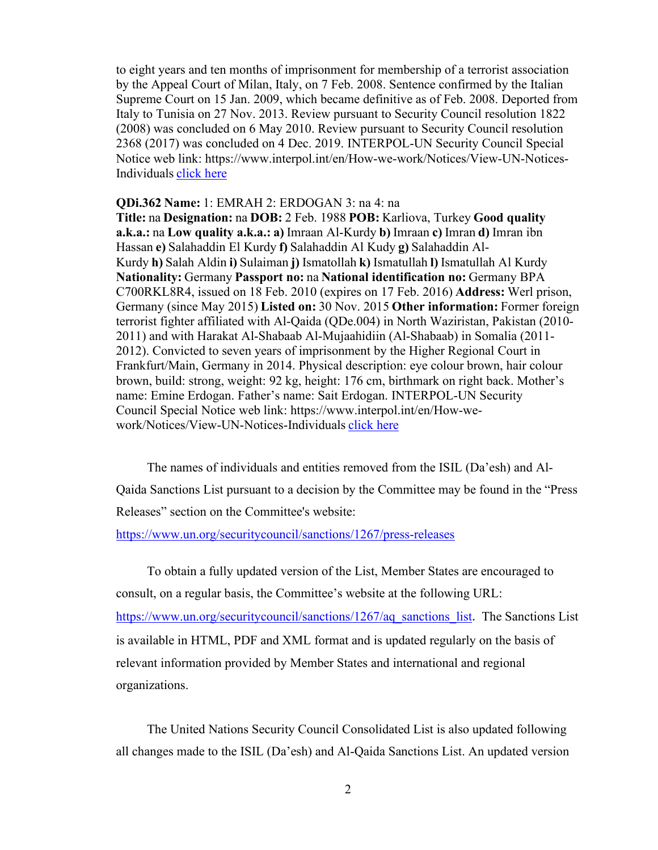to eight years and ten months of imprisonment for membership of a terrorist association by the Appeal Court of Milan, Italy, on 7 Feb. 2008. Sentence confirmed by the Italian Supreme Court on 15 Jan. 2009, which became definitive as of Feb. 2008. Deported from Italy to Tunisia on 27 Nov. 2013. Review pursuant to Security Council resolution 1822 (2008) was concluded on 6 May 2010. Review pursuant to Security Council resolution 2368 (2017) was concluded on 4 Dec. 2019. INTERPOL-UN Security Council Special Notice web link: https://www.interpol.int/en/How-we-work/Notices/View-UN-Notices-Individuals [click here](https://www.interpol.int/en/How-we-work/Notices/View-UN-Notices-Individuals)

## **QDi.362 Name:**1: EMRAH 2: ERDOGAN 3: na 4: na

**Title:**na**Designation:**na**DOB:**2 Feb. 1988**POB:**Karliova, Turkey **Good quality a.k.a.:**na**Low quality a.k.a.: a)**Imraan Al-Kurdy**b)**Imraan**c)**Imran**d)**Imran ibn Hassan**e)**Salahaddin El Kurdy**f)**Salahaddin Al Kudy**g)**Salahaddin Al-Kurdy**h)**Salah Aldin**i)**Sulaiman**j)**Ismatollah**k)**Ismatullah**l)**Ismatullah Al Kurdy **Nationality:**Germany**Passport no:**na**National identification no:**Germany BPA C700RKL8R4, issued on 18 Feb. 2010 (expires on 17 Feb. 2016) **Address:**Werl prison, Germany (since May 2015) **Listed on:**30 Nov. 2015**Other information:**Former foreign terrorist fighter affiliated with Al-Qaida (QDe.004) in North Waziristan, Pakistan (2010- 2011) and with Harakat Al-Shabaab Al-Mujaahidiin (Al-Shabaab) in Somalia (2011- 2012). Convicted to seven years of imprisonment by the Higher Regional Court in Frankfurt/Main, Germany in 2014. Physical description: eye colour brown, hair colour brown, build: strong, weight: 92 kg, height: 176 cm, birthmark on right back. Mother's name: Emine Erdogan. Father's name: Sait Erdogan. INTERPOL-UN Security Council Special Notice web link: https://www.interpol.int/en/How-wework/Notices/View-UN-Notices-Individuals [click here](https://www.interpol.int/en/How-we-work/Notices/View-UN-Notices-Individuals)

The names of individuals and entities removed from the ISIL (Da'esh) and Al-Qaida Sanctions List pursuant to a decision by the Committee may be found in the "Press Releases" section on the Committee's website:

<https://www.un.org/securitycouncil/sanctions/1267/press-releases>

To obtain a fully updated version of the List, Member States are encouraged to consult, on a regular basis, the Committee's website at the following URL: [https://www.un.org/securitycouncil/sanctions/1267/aq\\_sanctions\\_list](https://www.un.org/securitycouncil/sanctions/1267/aq_sanctions_list). The Sanctions List is available in HTML, PDF and XML format and is updated regularly on the basis of relevant information provided by Member States and international and regional organizations.

The United Nations Security Council Consolidated List is also updated following all changes made to the ISIL (Da'esh) and Al-Qaida Sanctions List. An updated version